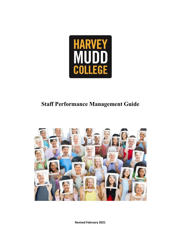

# **Staff Performance Management Guide**



**Revised February 2021**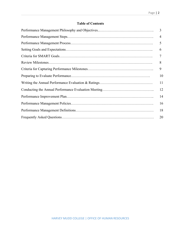# **Table of Contents**

| 3  |
|----|
| 4  |
| 5  |
| 6  |
| 7  |
| 8  |
| 9  |
| 10 |
| 11 |
| 12 |
| 14 |
| 16 |
| 18 |
| 20 |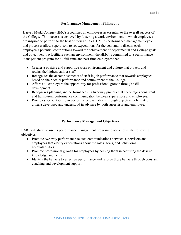# **Performance Management Philosophy**

Harvey Mudd College (HMC) recognizes all employees as essential to the overall success of the College. This success is achieved by fostering a work environment in which employees are inspired to perform to the best of their abilities. HMC's performance management cycle and processes allow supervisors to set expectations for the year and to discuss each employee's potential contributions toward the achievement of departmental and College goals and objectives. To facilitate such an environment, the HMC is committed to a performance management program for all full-time and part-time employees that:

- Creates a positive and supportive work environment and culture that attracts and retains the highest caliber staff.
- Recognizes the accomplishments of staff in job performance that rewards employees based on their actual performance and commitment to the College.
- Affords all employees the opportunity for professional growth through skill development.
- Recognizes planning and performance is a two-way process that encourages consistent and transparent performance communication between supervisors and employees.
- Promotes accountability in performance evaluations through objective, job related criteria developed and understood in advance by both supervisor and employee.

# **Performance Management Objectives**

HMC will strive to use its performance management program to accomplish the following objectives:

- Promote two-way performance related communications between supervisors and employees that clarify expectations about the roles, goals, and behavioral accountabilities.
- Promote professional growth for employees by helping them in acquiring the desired knowledge and skills.
- Identify the barriers to effective performance and resolve those barriers through constant coaching and development support.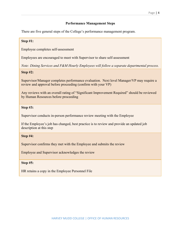# **Performance Management Steps**

There are five general steps of the College's performance management program.

#### **Step #1:**

Employee completes self-assessment

Employees are encouraged to meet with Supervisor to share self-assessment

*Note: Dining Services and F&M Hourly Employees will follow a separate departmental process.*

#### **Step #2:**

Supervisor/Manager completes performance evaluation. Next level Manager/VP may require a review and approval before proceeding (confirm with your VP)

Any reviews with an overall rating of "Significant Improvement Required" should be reviewed by Human Resources before proceeding

#### **Step #3:**

Supervisor conducts in-person performance review meeting with the Employee

If the Employee's job has changed, best practice is to review and provide an updated job description at this step

#### **Step #4:**

Supervisor confirms they met with the Employee and submits the review

Employee and Supervisor acknowledges the review

#### **Step #5:**

HR retains a copy in the Employee Personnel File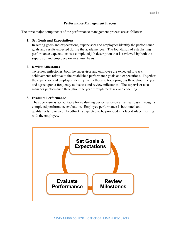# **Performance Management Process**

The three major components of the performance management process are as follows:

## **1. Set Goals and Expectations**

In setting goals and expectations, supervisors and employees identify the performance goals and results expected during the academic year. The foundation of establishing performance expectations is a completed job description that is reviewed by both the supervisor and employee on an annual basis.

# **2. Review Milestones**

To review milestones, both the supervisor and employee are expected to track achievements relative to the established performance goals and expectations. Together, the supervisor and employee identify the methods to track progress throughout the year and agree upon a frequency to discuss and review milestones. The supervisor also manages performance throughout the year through feedback and coaching.

# **3. Evaluate Performance**

The supervisor is accountable for evaluating performance on an annual basis through a completed performance evaluation. Employee performance is both rated and qualitatively reviewed. Feedback is expected to be provided in a face-to-face meeting with the employee.

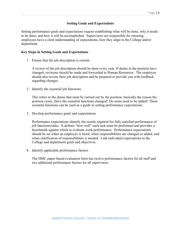# **Setting Goals and Expectations**

Setting performance goals and expectations require establishing what will be done, why it needs to be done, and how it will be accomplished. Supervisors are responsible for ensuring employees have a clear understanding of expectations, how they align to the College and/or department.

#### **Key Steps in Setting Goals and Expectations**

1. Ensure that the job description is current.

A review of the job description should be done every year. If duties in the position have changed, revisions should be made and forwarded to Human Resources. The employee should also review their job description and be prepared to provide you with feedback regarding changes.

2. Identify the essential job functions.

This refers to the duties that must be carried out by the position, basically the reason the position exists. Have the essential functions changed? Do some need to be added? These essential functions can be used as a guide to setting performance expectations.

3. Develop performance goals and expectations.

Performance expectations identify the results required for fully satisfied performance of job functions/tasks. It defines "how well" each task must be performed and provides a benchmark against which to evaluate work performance. Performance expectations should be set when an employee is hired, when responsibilities are changed or added, and when clarification of responsibilities is needed. Link individual expectations to the College and department goals and objectives.

4. Identify applicable performance factors.

The HMC paper-based evaluation form has twelve performance factors for all staff and two additional performance factors for all supervisors.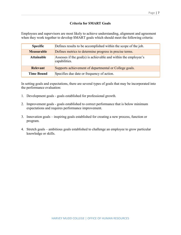# **Criteria for SMART Goals**

Employees and supervisors are most likely to achieve understanding, alignment and agreement when they work together to develop SMART goals which should meet the following criteria:

| <b>Specific</b>                                                                                       | Defines results to be accomplished within the scope of the job. |  |  |
|-------------------------------------------------------------------------------------------------------|-----------------------------------------------------------------|--|--|
| <b>Measurable</b>                                                                                     | Defines metrics to determine progress in precise terms.         |  |  |
| Assesses if the goal(s) is achievable and within the employee's<br><b>Attainable</b><br>capabilities. |                                                                 |  |  |
| <b>Relevant</b>                                                                                       | Supports achievement of departmental or College goals.          |  |  |
| <b>Time Bound</b>                                                                                     | Specifies due date or frequency of action.                      |  |  |

In setting goals and expectations, there are several types of goals that may be incorporated into the performance evaluation:

- 1. Development goals goals established for professional growth.
- 2. Improvement goals goals established to correct performance that is below minimum expectations and requires performance improvement.
- 3. Innovation goals inspiring goals established for creating a new process, function or program.
- 4. Stretch goals ambitious goals established to challenge an employee to grow particular knowledge or skills.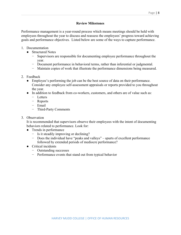Performance management is a year-round process which means meetings should be held with employees throughout the year to discuss and reassess the employees' progress toward achieving goals and performance objectives. Listed below are some of the ways to capture performance.

- 1. Documentation
	- Structured Notes
		- − Supervisors are responsible for documenting employee performance throughout the year.
		- − Document performance in behavioral terms, rather than inferential or judgmental.
		- − Maintain copies of work that illustrate the performance dimensions being measured.
- 2. Feedback
	- Employee's performing the job can be the best source of data on their performance. Consider any employee self-assessment appraisals or reports provided to you throughout the year.
	- In addition to feedback from co-workers, customers, and others are of value such as:
		- − Letters
		- − Reports
		- − Email
		- − Third-Party Comments
- 3. Observation

It is recommended that supervisors observe their employees with the intent of documenting behaviors related to performance. Look for:

- Trends in performance
	- − Is it steadily improving or declining?
	- − Does the individual have "peaks and valleys" spurts of excellent performance followed by extended periods of mediocre performance?
- Critical incidents
	- − Outstanding successes
	- − Performance events that stand out from typical behavior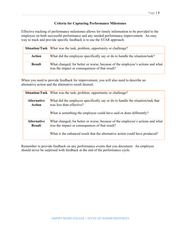# **Criteria for Capturing Performance Milestones**

Effective tracking of performance milestones allows for timely information to be provided to the employee on both successful performance and any needed performance improvement. An easy way to track and provide specific feedback is to use the STAR approach:

|               | <b>Situation/Task</b> What was the task, problem, opportunity or challenge?                                                     |  |
|---------------|---------------------------------------------------------------------------------------------------------------------------------|--|
| Action        | What did the employee specifically say or do to handle the situation/task?                                                      |  |
| <b>Result</b> | What changed, for better or worse, because of the employee's actions and what<br>was the impact or consequences of that result? |  |

When you need to provide feedback for improvement, you will also need to describe an alternative action and the alternative result desired.

| <b>Situation/Task</b>               | What was the task, problem, opportunity or challenge?                                                                                                                                                           |  |
|-------------------------------------|-----------------------------------------------------------------------------------------------------------------------------------------------------------------------------------------------------------------|--|
| <b>Alternative</b><br>Action        | What did the employee specifically say or do to handle the situation/task that<br>was less than effective?<br>What is something the employee could have said or done differently?                               |  |
| <b>Alternative</b><br><b>Result</b> | What changed, for better or worse, because of the employee's actions and what<br>was the impact or consequences of that result?<br>What is the enhanced result that the alternative action could have produced? |  |

Remember to provide feedback on any performance events that you document. An employee should never be surprised with feedback at the end of the performance cycle.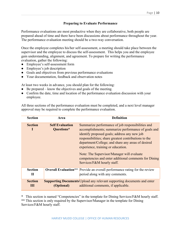### **Preparing to Evaluate Performance**

Performance evaluations are most productive when they are collaborative, both people are prepared ahead of time and there have been discussions about performance throughout the year. The performance evaluation meeting should be a two-way conversation.

Once the employee completes his/her self-assessment, a meeting should take place between the supervisor and the employee to discuss the self-assessment. This helps you and the employee gain understanding, alignment, and agreement. To prepare for writing the performance evaluation, gather the following:

- Employee's self-assessment form
- Employee's job description
- Goals and objectives from previous performance evaluations
- Your documentation, feedback and observation notes

At least two weeks in advance, you should plan for the following:

- Be prepared know the objectives and goals of the meeting.
- Confirm the date, time and location of the performance evaluation discussion with your employee.

All three sections of the performance evaluation must be completed, and a next level manager approval may be required to complete the performance evaluation.

| <b>Section</b>                                         | Area                        | <b>Definition</b>                                                                                                                                                                                                                                                                                             |
|--------------------------------------------------------|-----------------------------|---------------------------------------------------------------------------------------------------------------------------------------------------------------------------------------------------------------------------------------------------------------------------------------------------------------|
| <b>Section</b><br><b>Self Evaluation</b><br>Questions* |                             | Summarize performance of job responsibilities and<br>accomplishments; summarize performance of goals and<br>identify proposed goals; address any new job<br>responsibilities; share greatest contributions to the<br>department/College; and share any areas of desired<br>experience, training or education. |
|                                                        |                             | Note: The Supervisor/Manager will evaluate<br>competencies and enter additional comments for Dining<br>Services/F&M hourly staff.                                                                                                                                                                             |
| <b>Section</b><br>П                                    | <b>Overall Evaluation**</b> | Provide an overall performance rating for the review<br>period along with any comments.                                                                                                                                                                                                                       |
| <b>Section</b><br>Ш                                    |                             | <b>Supporting Documents</b> Upload any relevant supporting documents and enter<br><b>(Optional)</b> additional comments, if applicable.                                                                                                                                                                       |

\* This section is named "Competencies" in the template for Dining Services/F&M hourly staff. \*\* This section is only required by the Supervisor/Manager in the template for Dining Services/F&M hourly staff.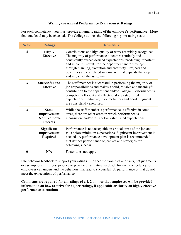# **Writing the Annual Performance Evaluation & Ratings**

For each competency, you must provide a numeric rating of the employee's performance. More than one level may be checked. The College utilizes the following 4-point rating scale:

| <b>Scale</b>            | <b>Ratings</b>                                                       | <b>Definitions</b>                                                                                                                                                                                                                                                                                                                                                                                          |
|-------------------------|----------------------------------------------------------------------|-------------------------------------------------------------------------------------------------------------------------------------------------------------------------------------------------------------------------------------------------------------------------------------------------------------------------------------------------------------------------------------------------------------|
| $\overline{\mathbf{4}}$ | <b>Highly</b><br><b>Effective</b>                                    | Contributions and high quality of work are widely recognized.<br>The majority of performance outcomes routinely and<br>consistently exceed defined expectations, producing important<br>and impactful results for the department and/or College<br>through planning, execution and creativity. Projects and<br>objectives are completed in a manner that expands the scope<br>and impact of the assignment. |
| $\mathbf{3}$            | <b>Successful and</b><br><b>Effective</b>                            | The staff member is successful in performing the majority of<br>job responsibilities and makes a solid, reliable and meaningful<br>contribution to the department and/or College. Performance is<br>competent, efficient and effective along established<br>expectations. Initiative, resourcefulness and good judgment<br>are consistently exercised.                                                      |
| $\overline{2}$          | <b>Some</b><br>Improvement<br><b>Required/Some</b><br><b>Success</b> | While the staff member's performance is effective in some<br>areas, there are other areas in which performance is<br>inconsistent and/or falls below established expectations.                                                                                                                                                                                                                              |
| 1                       | Significant<br>Improvement<br>Required                               | Performance is not acceptable in critical areas of the job and<br>falls below minimum expectations. Significant improvement is<br>needed. A performance development plan is recommended<br>that defines performance objectives and strategies for<br>achieving success.                                                                                                                                     |
| $\bf{0}$                | N/A                                                                  | Factor does not apply.                                                                                                                                                                                                                                                                                                                                                                                      |

Use behavior feedback to support your ratings. Use specific examples and facts, not judgments or assumptions. It is best practice to provide quantitative feedback for each competency so employees can understand the behaviors that lead to successful job performance or that do not meet the expectations of performance.

**Comments are required for all ratings of a 1, 2 or 4, so that employees will be provided information on how to strive for higher ratings, if applicable or clarity on highly effective performance to continue.**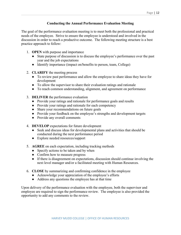# **Conducting the Annual Performance Evaluation Meeting**

The goal of the performance evaluation meeting is to meet both the professional and practical needs of the employee. Strive to ensure the employee is understood and involved in the discussion in order to reach a productive outcome. The following meeting structure is a best practice approach to follow:

- 1. **OPEN** with purpose and importance
	- State purpose of discussion is to discuss the employee's performance over the past year and the job expectations
	- Identify importance (impact on/benefits to person, team, College)
- 2. **CLARIFY** the meeting process
	- To review past performance and allow the employee to share ideas they have for development
	- To allow the supervisor to share their evaluation ratings and rationale
	- To reach common understanding, alignment, and agreement on performance
- 3. **DELIVER** the performance evaluation
	- Provide your ratings and rationale for performance goals and results
	- Provide your ratings and rationale for each competency
	- Share your recommendations on future goals
	- Provide your feedback on the employee's strengths and development targets
	- Provide any overall comments
- 4. **DEVELOP** expectations for future development
	- Seek and discuss ideas for developmental plans and activities that should be conducted during the next performance period
	- Explore needed resources/support
- 5. **AGREE** on each expectation, including tracking methods
	- Specify actions to be taken and by when
	- Confirm how to measure progress
	- If there is disagreement on expectations, discussion should continue involving the next level manager and/or a facilitated meeting with Human Resources.
- 6. **CLOSE** by summarizing and confirming confidence in the employee
	- Acknowledge your appreciation of the employee's efforts
	- Address any questions the employee has at that time

Upon delivery of the performance evaluation with the employee, both the supervisor and employee are required to sign the performance review. The employee is also provided the opportunity to add any comments to the review.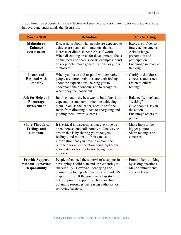In addition, five process skills are effective to keep the discussion moving forward and to ensure that everyone understands the discussion:

| <b>Process Skill</b>                                                       | <b>Definition</b>                                                                                                                                                                                                                                                                                                                                                 | <b>Tips for Using</b>                                                                                                                   |
|----------------------------------------------------------------------------|-------------------------------------------------------------------------------------------------------------------------------------------------------------------------------------------------------------------------------------------------------------------------------------------------------------------------------------------------------------------|-----------------------------------------------------------------------------------------------------------------------------------------|
| <b>Maintain or</b><br><b>Enhance</b><br><b>Self-Esteem</b>                 | Discussions about what people are expected to<br>achieve are personal interactions that can<br>increase or diminish people's self-worth.<br>When discussing areas for development, focus<br>on the facts and share specific examples; don't<br>attack people, make generalizations, or guess<br>at motives                                                        | • Express confidence in<br>future achievements<br>• Acknowledge<br>preparation and<br>participation<br>Encourage innovative<br>thinking |
| <b>Listen and</b><br><b>Respond with</b><br><b>Empathy</b>                 | When you listen and respond with empathy,<br>people are more likely to share their feelings<br>about the expectations, helping you to<br>understand their concerns and to recognize<br>where they feel confident.                                                                                                                                                 |                                                                                                                                         |
| Ask for Help and<br>Encourage<br><b>Involvement</b>                        | Involvement is the best way to build buy-in to<br>expectations and commitment to achieving<br>them. You, as the leader, need to shift the<br>focus from directing others to energizing and<br>guiding them toward success.                                                                                                                                        | • Balance "telling" and<br>"seeking"<br>• Give people a say in<br>the action<br>• Encourage others to<br>prepare                        |
| <b>Share Thoughts,</b><br><b>Feelings and</b><br><b>Rationale</b>          | It is critical in discussions that everyone be<br>open, honest, and collaborative. One way to<br>ensure this is by sharing your thoughts,<br>feelings, and rationale. You can use<br>information that you have to explain the<br>rationale for an expectation being higher than<br>anticipated or for a behavior being more<br>important.                         | • Make links to the<br>bigger picture<br>• Share feelings and<br>concerns                                                               |
| <b>Provide Support</b><br><b>Without Removing</b><br><b>Responsibility</b> | People often need the supervisor's support in<br>developing a solid plan and implementing it<br>successfully. However, identifying and<br>committing to expectations is the individual's<br>responsibility. If the goals are a big stretch,<br>offer to provide support, such as coaching,<br>obtaining resources, increasing authority, or<br>removing barriers. | • Prompt their thinking<br>by asking questions<br>Make commitments<br>$\bullet$<br>you can keep                                         |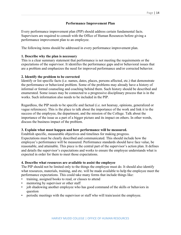# **Performance Improvement Plan**

Every performance improvement plan (PIP) should address certain fundamental facts. Supervisors are required to consult with the Office of Human Resources before giving a performance improvement plan to an employee.

The following items should be addressed in every performance improvement plan.

## **1. Describe why the plan is necessary**

This is a clear summary statement that performance is not meeting the requirements or the expectations of the supervisor. It identifies the performance gaps and/or behavioral issues that are a problem and emphasizes the need for improved performance and/or corrected behavior.

#### **2. Identify the problem to be corrected**

Identify or list specific facts (i.e. names, dates, places, persons affected, etc.) that demonstrate the performance or behavioral problem. Some of the problems may already have a history of informal or formal counseling and coaching behind them. Such history should be described and enumerated. Some issues may be connected to a progressive disciplinary process that is in the works. Such information also needs to be included in the PIP.

Regardless, the PIP needs to be specific and factual (i.e. not hearsay, opinions, generalized or vague references). This is the place to talk about the importance of the work and link it to the success of the employee, the department, and the mission of the College. Talk about the importance of the issue as a part of a bigger picture and its impact on others. In other words, discuss the business impact of the problem.

#### **3. Explain what must happen and how performance will be measured.**

Establish specific, measurable objectives and timelines for making progress. Expectations must be clearly described and communicated. This should include how the employee's performance will be measured. Performance standards should have face value, be reasonable, and attainable. This piece is the central part of the supervisor's action plan. It defines and details the supervisor's expectations and works to ensure the employee understands what is expected in order for them to meet those expectations.

#### **4. Describe what resources are available to assist the employee**

The PIP should not be limited only to the things the employee must do. It should also identify what resources, materials, training, and etc. will be made available to help the employee meet the performance expectations. This could take many forms that include things like:

- training, assigned books to read, or classes to attend
- mentoring by supervisor or other staff
- job shadowing another employee who has good command of the skills or behaviors in question
- periodic meetings with the supervisor or staff who will train/assist the employee.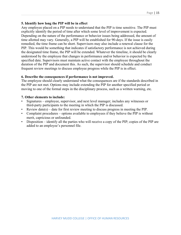## **5. Identify how long the PIP will be in effect**

Any employee placed on a PIP needs to understand that the PIP is time sensitive. The PIP must explicitly identify the period of time after which some level of improvement is expected. Depending on the nature of the performance or behavior issues being addressed, the amount of time allotted may vary. Generally, a PIP will be established for 90-days. If the issue is easily remedied, the time frame can be short. Supervisors may also include a renewal clause for the PIP. This would be something that indicates if satisfactory performance is not achieved during the designated time frame, the PIP will be extended. Whatever the timeline, it should be clearly understood by the employee that changes in performance and/or behavior is expected by the specified date. Supervisors must maintain active contact with the employee throughout the duration of the PIP and document this. As such, the supervisor should schedule and conduct frequent review meetings to discuss employee progress while the PIP is in effect.

#### **6. Describe the consequences if performance is not improved.**

The employee should clearly understand what the consequences are if the standards described in the PIP are not met. Options may include extending the PIP for another specified period or moving to one of the formal steps in the disciplinary process, such as a written warning, etc.

#### **7. Other elements to include:**

- Signatures employee, supervisor, and next level manager; includes any witnesses or third-party participants to the meeting in which the PIP is discussed.
- Review date(s) date for first review meeting to discuss progress in meeting the PIP.
- Complaint procedures options available to employees if they believe the PIP is without merit, capricious or unfounded.
- Disposition identify all the parties who will receive a copy of the PIP; copies of the PIP are added to an employee's personnel file.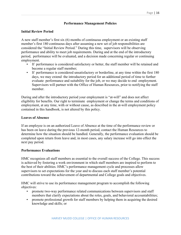### **Performance Management Policies**

#### **Initial Review Period**

A new staff member's first six (6) months of continuous employment or an existing staff member's first 180 continuous days after assuming a new set of job responsibilities are considered the "Initial Review Period." During this time, supervisors will be observing performance and ability to meet job requirements. During and at the end of the introductory period, performance will be evaluated, and a decision made concerning regular or continuing employment.

- If performance is considered satisfactory or better, the staff member will be retained and become a regular staff member;
- If performance is considered unsatisfactory or borderline, at any time within the first 180 days, we may extend the introductory period for an additional period of time to further evaluate performance and suitability for the job, or we may decide to end employment. Supervisors will partner with the Office of Human Resources, prior to notifying the staff member.

During and after the introductory period your employment is "at-will" and does not affect eligibility for benefits. Our right to terminate employment or change the terms and conditions of employment, at any time, with or without cause, as described in the at-will employment policy contained in this handbook, is not altered by this policy.

#### **Leaves of Absence**

If an employee is on an authorized Leave of Absence at the time of the performance review or has been on leave during the previous 12-month period, contact the Human Resources to determine how the situation should be handled. Generally, the performance evaluation should be completed upon return from leave and, in most cases, any salary increase will go into effect the next pay period.

#### **Performance Evaluations**

HMC recognizes all staff members as essential to the overall success of the College. This success is achieved by fostering a work environment in which staff members are inspired to perform to the best of their abilities. HMC's performance management cycle and processes allow supervisors to set expectations for the year and to discuss each staff member's potential contributions toward the achievement of departmental and College goals and objectives.

HMC will strive to use its performance management program to accomplish the following objectives:

- promote two-way performance related communications between supervisors and staff members that clarify expectations about the roles, goals, and behavioral accountabilities;
- promote professional growth for staff members by helping them in acquiring the desired knowledge and skills; or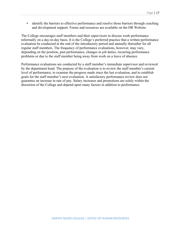• identify the barriers to effective performance and resolve those barriers through coaching and development support. Forms and resources are available on the HR Website.

The College encourages staff members and their supervisors to discuss work performance informally on a day-to-day basis. It is the College's preferred practice that a written performance evaluation be conducted at the end of the introductory period and annually thereafter for all regular staff members. The frequency of performance evaluations, however, may vary, depending on the position, past performance, changes in job duties, recurring performance problems or due to the staff member being away from work on a leave of absence.

Performance evaluations are conducted by a staff member's immediate supervisor and reviewed by the department head. The purpose of the evaluation is to review the staff member's current level of performance, to examine the progress made since the last evaluation, and to establish goals for the staff member's next evaluation. A satisfactory performance review does not guarantee an increase in rate of pay. Salary increases and promotions are solely within the discretion of the College and depend upon many factors in addition to performance.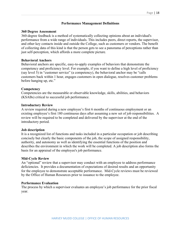#### **Performance Management Definitions**

#### **360 Degree Assessment**

360-degree feedback is a method of systematically collecting opinions about an individual's performance from a wide range of individuals. This includes peers, direct reports, the supervisor, and other key contacts inside and outside the College, such as customers or vendors. The benefit of collecting data of this kind is that the person gets to see a panorama of perceptions rather than just self-perception, which affords a more complete picture.

#### **Behavioral Anchors**

Behavioral anchors are specific, easy-to-apply examples of behaviors that demonstrate the competency and proficiency level. For example, if you want to define a high level of proficiency (say level 5) in "customer service" (a competency), the behavioral anchor may be "calls customers back within 1 hour, engages customers in open dialogue, resolves customer problems before hanging up, etc."

#### **Competency**

Competencies are the measurable or observable knowledge, skills, abilities, and behaviors (KSABs) critical to successful job performance.

#### **Introductory Review**

A review required during a new employee's first 6 months of continuous employment or an existing employee's first 180 continuous days after assuming a new set of job responsibilities. A review will be required to be completed and delivered by the supervisor at the end of the introductory period.

#### **Job description**

It is a recognized list of functions and tasks included in a particular occupation or job describing concisely but clearly the basic components of the job, the scope of assigned responsibility, authority, and autonomy as well as identifying the essential functions of the position and describes the environment in which the work will be completed. A job description also forms the basis for an appraisal of the employee's job performance.

#### **Mid-Cycle Review**

An "optional" review that a supervisor may conduct with an employee to address performance deficiencies. It provides a documentation of expectations of desired results and an opportunity for the employee to demonstrate acceptable performance. Mid-Cycle reviews must be reviewed by the Office of Human Resources prior to issuance to the employee.

#### **Performance Evaluation**

The process by which a supervisor evaluates an employee's job performance for the prior fiscal year.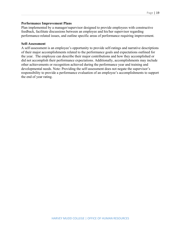#### **Performance Improvement Plans**

Plan implemented by a manager/supervisor designed to provide employees with constructive feedback, facilitate discussions between an employee and his/her supervisor regarding performance-related issues, and outline specific areas of performance requiring improvement.

#### **Self-Assessment**

A self-assessment is an employee's opportunity to provide self-ratings and narrative descriptions of their major accomplishments related to the performance goals and expectations outlined for the year. The employee can describe their major contributions and how they accomplished or did not accomplish their performance expectations. Additionally, accomplishments may include other achievements or recognition achieved during the performance year and training and developmental needs. Note: Providing the self-assessment does not negate the supervisor's responsibility to provide a performance evaluation of an employee's accomplishments to support the end of year rating.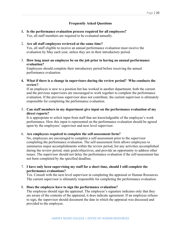# **Frequently Asked Questions**

# **1. Is the performance evaluation process required for all employees?** Yes, all staff members are required to be evaluated annually.

#### 2. **Are all staff employees reviewed at the same time?**

Yes, all staff eligible to receive an annual performance evaluation must receive the evaluation by May each year, unless they are in their introductory period.

#### 3. **How long must an employee be on the job prior to having an annual performance evaluation?**

Employees should complete their introductory period before receiving the annual performance evaluation.

#### **4. What if there is a change in supervisors during the review period? Who conducts the review?**

If an employee is new to a position but has worked in another department, both the current and the previous supervisors are encouraged to work together to complete the performance evaluation. If the previous supervisor does not contribute, the current supervisor is ultimately responsible for completing the performance evaluation.

## 5. **Can staff members in my department give input on the performance evaluation of my direct reports?**

It is appropriate to solicit input from staff that are knowledgeable of the employee's work performance. How this input is represented on the performance evaluation should be agreed upon by the employees' supervisor and next level supervisor.

#### 6. **Are employees required to complete the self-assessment form?**

No, employees are encouraged to complete a self-assessment prior to the supervisor completing the performance evaluation. The self-assessment form allows employees to summarize major accomplishments within the review period, list any activities accomplished during the review period, state goals/objectives, and provide an opportunity to address other issues. The supervisor should not delay the performance evaluation if the self-assessment has not been completed by the specified deadline.

#### 7. **I have only been supervising my staff for a short time, should I still complete the performance evaluations?**

Yes. Consult with the next level supervisor in completing the appraisal or Human Resources. The current supervisor is ultimately responsible for completing the performance evaluation.

#### 8. **Does the employee have to sign the performance evaluation?**

The employee should sign the appraisal. The employee's signature indicates only that they are aware of the contents of the appraisal, it does indicate agreement. If an employee refuses to sign, the supervisor should document the date in which the appraisal was discussed and provided to the employee.